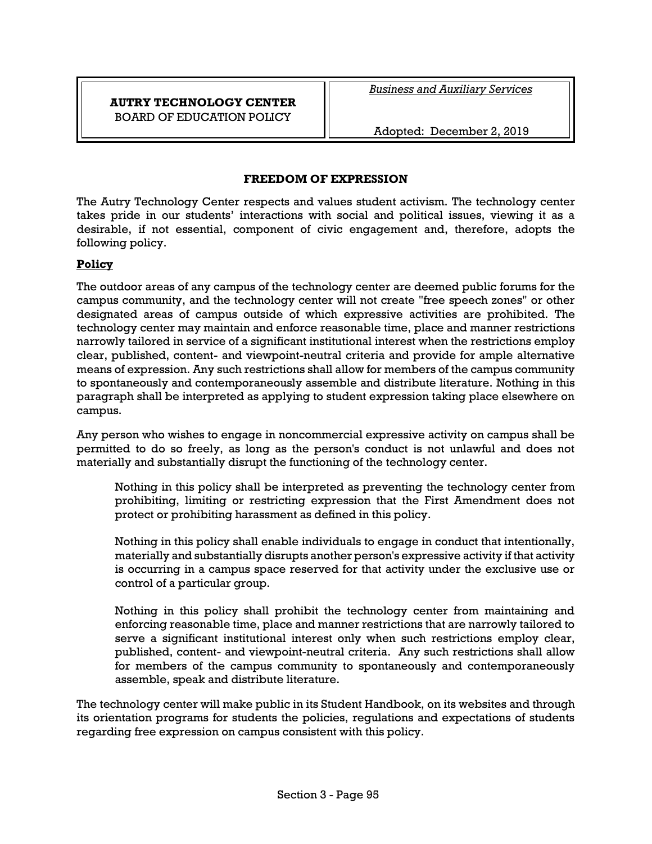# **AUTRY TECHNOLOGY CENTER** BOARD OF EDUCATION POLICY

*Business and Auxiliary Services*

Adopted: December 2, 2019

### **FREEDOM OF EXPRESSION**

The Autry Technology Center respects and values student activism. The technology center takes pride in our students' interactions with social and political issues, viewing it as a desirable, if not essential, component of civic engagement and, therefore, adopts the following policy.

#### **Policy**

The outdoor areas of any campus of the technology center are deemed public forums for the campus community, and the technology center will not create "free speech zones" or other designated areas of campus outside of which expressive activities are prohibited. The technology center may maintain and enforce reasonable time, place and manner restrictions narrowly tailored in service of a significant institutional interest when the restrictions employ clear, published, content- and viewpoint-neutral criteria and provide for ample alternative means of expression. Any such restrictions shall allow for members of the campus community to spontaneously and contemporaneously assemble and distribute literature. Nothing in this paragraph shall be interpreted as applying to student expression taking place elsewhere on campus.

Any person who wishes to engage in noncommercial expressive activity on campus shall be permitted to do so freely, as long as the person's conduct is not unlawful and does not materially and substantially disrupt the functioning of the technology center.

Nothing in this policy shall be interpreted as preventing the technology center from prohibiting, limiting or restricting expression that the First Amendment does not protect or prohibiting harassment as defined in this policy.

Nothing in this policy shall enable individuals to engage in conduct that intentionally, materially and substantially disrupts another person's expressive activity if that activity is occurring in a campus space reserved for that activity under the exclusive use or control of a particular group.

Nothing in this policy shall prohibit the technology center from maintaining and enforcing reasonable time, place and manner restrictions that are narrowly tailored to serve a significant institutional interest only when such restrictions employ clear, published, content- and viewpoint-neutral criteria. Any such restrictions shall allow for members of the campus community to spontaneously and contemporaneously assemble, speak and distribute literature.

The technology center will make public in its Student Handbook, on its websites and through its orientation programs for students the policies, regulations and expectations of students regarding free expression on campus consistent with this policy.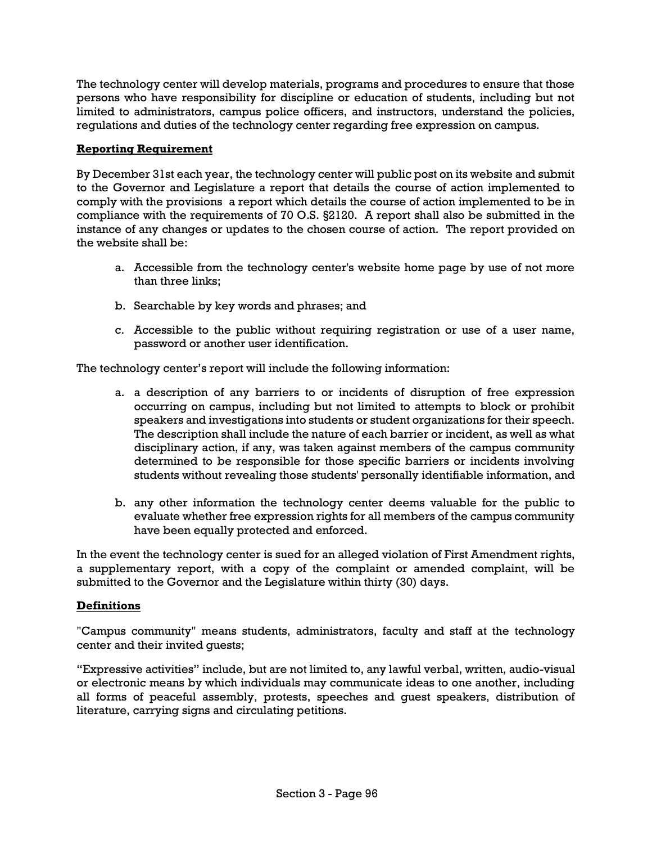The technology center will develop materials, programs and procedures to ensure that those persons who have responsibility for discipline or education of students, including but not limited to administrators, campus police officers, and instructors, understand the policies, regulations and duties of the technology center regarding free expression on campus.

## **Reporting Requirement**

By December 31st each year, the technology center will public post on its website and submit to the Governor and Legislature a report that details the course of action implemented to comply with the provisions a report which details the course of action implemented to be in compliance with the requirements of 70 O.S. §2120. A report shall also be submitted in the instance of any changes or updates to the chosen course of action. The report provided on the website shall be:

- a. Accessible from the technology center's website home page by use of not more than three links;
- b. Searchable by key words and phrases; and
- c. Accessible to the public without requiring registration or use of a user name, password or another user identification.

The technology center's report will include the following information:

- a. a description of any barriers to or incidents of disruption of free expression occurring on campus, including but not limited to attempts to block or prohibit speakers and investigations into students or student organizations for their speech. The description shall include the nature of each barrier or incident, as well as what disciplinary action, if any, was taken against members of the campus community determined to be responsible for those specific barriers or incidents involving students without revealing those students' personally identifiable information, and
- b. any other information the technology center deems valuable for the public to evaluate whether free expression rights for all members of the campus community have been equally protected and enforced.

In the event the technology center is sued for an alleged violation of First Amendment rights, a supplementary report, with a copy of the complaint or amended complaint, will be submitted to the Governor and the Legislature within thirty (30) days.

#### **Definitions**

"Campus community" means students, administrators, faculty and staff at the technology center and their invited guests;

"Expressive activities" include, but are not limited to, any lawful verbal, written, audio-visual or electronic means by which individuals may communicate ideas to one another, including all forms of peaceful assembly, protests, speeches and guest speakers, distribution of literature, carrying signs and circulating petitions.